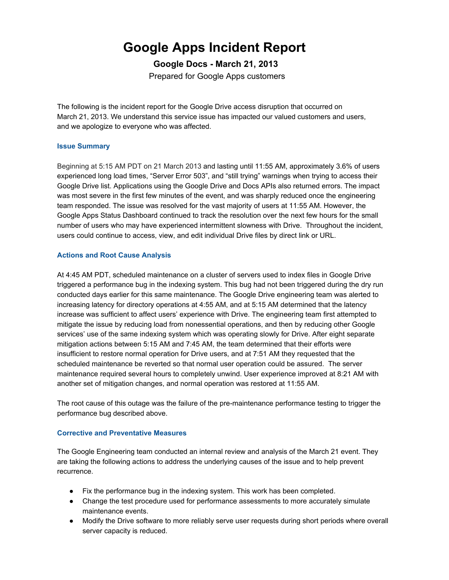## **Google Apps Incident Report**

**Google Docs March 21, 2013** Prepared for Google Apps customers

The following is the incident report for the Google Drive access disruption that occurred on March 21, 2013. We understand this service issue has impacted our valued customers and users, and we apologize to everyone who was affected.

## **Issue Summary**

Beginning at 5:15 AM PDT on 21 March 2013 and lasting until 11:55 AM, approximately 3.6% of users experienced long load times, "Server Error 503", and "still trying" warnings when trying to access their Google Drive list. Applications using the Google Drive and Docs APIs also returned errors. The impact was most severe in the first few minutes of the event, and was sharply reduced once the engineering team responded. The issue was resolved for the vast majority of users at 11:55 AM. However, the Google Apps Status Dashboard continued to track the resolution over the next few hours for the small number of users who may have experienced intermittent slowness with Drive. Throughout the incident, users could continue to access, view, and edit individual Drive files by direct link or URL.

## **Actions and Root Cause Analysis**

At 4:45 AM PDT, scheduled maintenance on a cluster of servers used to index files in Google Drive triggered a performance bug in the indexing system. This bug had not been triggered during the dry run conducted days earlier for this same maintenance. The Google Drive engineering team was alerted to increasing latency for directory operations at 4:55 AM, and at 5:15 AM determined that the latency increase was sufficient to affect users' experience with Drive. The engineering team first attempted to mitigate the issue by reducing load from nonessential operations, and then by reducing other Google services' use of the same indexing system which was operating slowly for Drive. After eight separate mitigation actions between 5:15 AM and 7:45 AM, the team determined that their efforts were insufficient to restore normal operation for Drive users, and at 7:51 AM they requested that the scheduled maintenance be reverted so that normal user operation could be assured. The server maintenance required several hours to completely unwind. User experience improved at 8:21 AM with another set of mitigation changes, and normal operation was restored at 11:55 AM.

The root cause of this outage was the failure of the pre-maintenance performance testing to trigger the performance bug described above.

## **Corrective and Preventative Measures**

The Google Engineering team conducted an internal review and analysis of the March 21 event. They are taking the following actions to address the underlying causes of the issue and to help prevent recurrence.

- Fix the performance bug in the indexing system. This work has been completed.
- Change the test procedure used for performance assessments to more accurately simulate maintenance events.
- Modify the Drive software to more reliably serve user requests during short periods where overall server capacity is reduced.